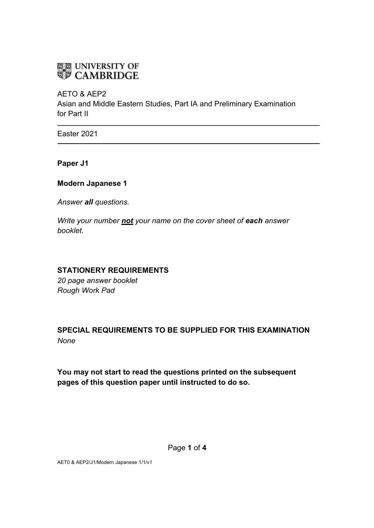# **ELE UNIVERSITY OF<br>WE CAMBRIDGE**

AETO & AEP2

Asian and Middle Eastern Studies, Part IA and Preliminary Examination for Part II

Easter 2021

**Paper J1**

#### **Modern Japanese 1**

*Answer all questions.*

*Write your number not your name on the cover sheet of each answer booklet.* 

#### **STATIONERY REQUIREMENTS**

*20 page answer booklet Rough Work Pad*

## **SPECIAL REQUIREMENTS TO BE SUPPLIED FOR THIS EXAMINATION** *None*

**You may not start to read the questions printed on the subsequent pages of this question paper until instructed to do so.**

AET0 & AEP2/J1/Modern Japanese 1/1/v1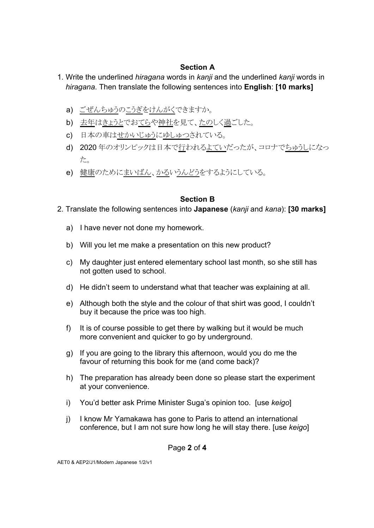#### **Section A**

- 1. Write the underlined *hiragana* words in *kanji* and the underlined *kanji* words in *hiragana*. Then translate the following sentences into **English**: **[10 marks]** 
	- a) ごぜんちゅうのこうぎをけんがくできますか。
	- b) 去年はきょうとでおてらや神社を見て、たのしく過ごした。
	- c) 日本の車はせかいじゅうにゆしゅつされている。
	- d) 2020年のオリンピックは日本で行われるよていだったが、コロナでちゅうしになっ た。
	- e) 健康のためにまいばん、かるいうんどうをするようにしている。

## **Section B**

- 2. Translate the following sentences into **Japanese** (*kanji* and *kana*): **[30 marks]** 
	- a) I have never not done my homework.
	- b) Will you let me make a presentation on this new product?
	- c) My daughter just entered elementary school last month, so she still has not gotten used to school.
	- d) He didn't seem to understand what that teacher was explaining at all.
	- e) Although both the style and the colour of that shirt was good, I couldn't buy it because the price was too high.
	- f) It is of course possible to get there by walking but it would be much more convenient and quicker to go by underground.
	- g) If you are going to the library this afternoon, would you do me the favour of returning this book for me (and come back)?
	- h) The preparation has already been done so please start the experiment at your convenience.
	- i) You'd better ask Prime Minister Suga's opinion too. [use *keigo*]
	- j) I know Mr Yamakawa has gone to Paris to attend an international conference, but I am not sure how long he will stay there. [use *keigo*]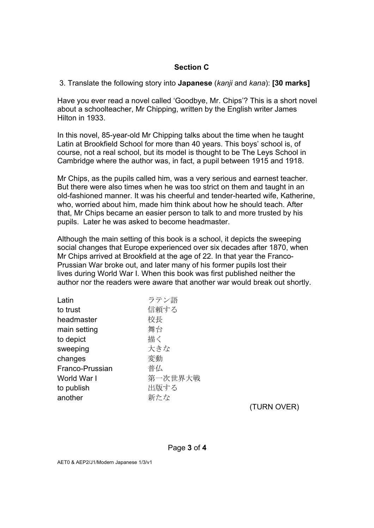#### **Section C**

3. Translate the following story into **Japanese** (*kanji* and *kana*): **[30 marks]**

Have you ever read a novel called 'Goodbye, Mr. Chips'? This is a short novel about a schoolteacher, Mr Chipping, written by the English writer James Hilton in 1933.

In this novel, 85-year-old Mr Chipping talks about the time when he taught Latin at Brookfield School for more than 40 years. This boys' school is, of course, not a real school, but its model is thought to be The Leys School in Cambridge where the author was, in fact, a pupil between 1915 and 1918.

Mr Chips, as the pupils called him, was a very serious and earnest teacher. But there were also times when he was too strict on them and taught in an old-fashioned manner. It was his cheerful and tender-hearted wife, Katherine, who, worried about him, made him think about how he should teach. After that, Mr Chips became an easier person to talk to and more trusted by his pupils. Later he was asked to become headmaster.

Although the main setting of this book is a school, it depicts the sweeping social changes that Europe experienced over six decades after 1870, when Mr Chips arrived at Brookfield at the age of 22. In that year the Franco-Prussian War broke out, and later many of his former pupils lost their lives during World War I. When this book was first published neither the author nor the readers were aware that another war would break out shortly.

| Latin           | ラテン語    |
|-----------------|---------|
| to trust        | 信頼する    |
| headmaster      | 校長      |
| main setting    | 舞台      |
| to depict       | 描く      |
| sweeping        | 大きな     |
| changes         | 変動      |
| Franco-Prussian | 普仏      |
| World War I     | 第一次世界大戦 |
| to publish      | 出版する    |
| another         | 新たな     |
|                 |         |

(TURN OVER)